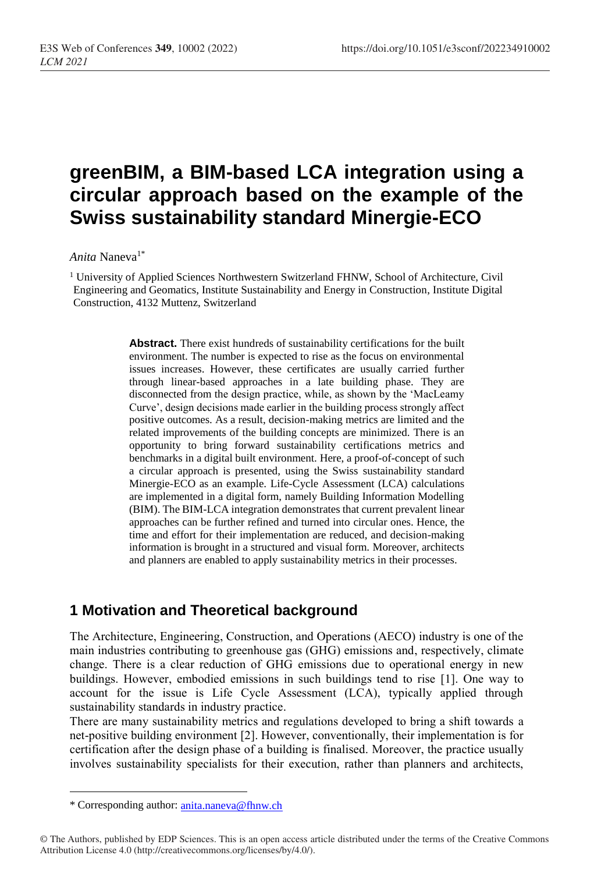# **greenBIM, a BIM-based LCA integration using a circular approach based on the example of the Swiss sustainability standard Minergie-ECO**

*Anita* Naneva1\*

<sup>1</sup> University of Applied Sciences Northwestern Switzerland FHNW, School of Architecture, Civil Engineering and Geomatics, Institute Sustainability and Energy in Construction, Institute Digital Construction, 4132 Muttenz, Switzerland

> **Abstract.** There exist hundreds of sustainability certifications for the built environment. The number is expected to rise as the focus on environmental issues increases. However, these certificates are usually carried further through linear-based approaches in a late building phase. They are disconnected from the design practice, while, as shown by the 'MacLeamy Curve', design decisions made earlier in the building process strongly affect positive outcomes. As a result, decision-making metrics are limited and the related improvements of the building concepts are minimized. There is an opportunity to bring forward sustainability certifications metrics and benchmarks in a digital built environment. Here, a proof-of-concept of such a circular approach is presented, using the Swiss sustainability standard Minergie-ECO as an example. Life-Cycle Assessment (LCA) calculations are implemented in a digital form, namely Building Information Modelling (BIM). The BIM-LCA integration demonstrates that current prevalent linear approaches can be further refined and turned into circular ones. Hence, the time and effort for their implementation are reduced, and decision-making information is brought in a structured and visual form. Moreover, architects and planners are enabled to apply sustainability metrics in their processes.

## **1 Motivation and Theoretical background**

The Architecture, Engineering, Construction, and Operations (AECO) industry is one of the main industries contributing to greenhouse gas (GHG) emissions and, respectively, climate change. There is a clear reduction of GHG emissions due to operational energy in new buildings. However, embodied emissions in such buildings tend to rise [1]. One way to account for the issue is Life Cycle Assessment (LCA), typically applied through sustainability standards in industry practice.

There are many sustainability metrics and regulations developed to bring a shift towards a net-positive building environment [2]. However, conventionally, their implementation is for certification after the design phase of a building is finalised. Moreover, the practice usually involves sustainability specialists for their execution, rather than planners and architects,

 $\overline{a}$ 

<sup>\*</sup> Corresponding author: [anita.naneva@fhnw.ch](mailto:anita.naneva@fhnw.ch)

<sup>©</sup> The Authors, published by EDP Sciences. This is an open access article distributed under the terms of the Creative Commons Attribution License 4.0 (http://creativecommons.org/licenses/by/4.0/).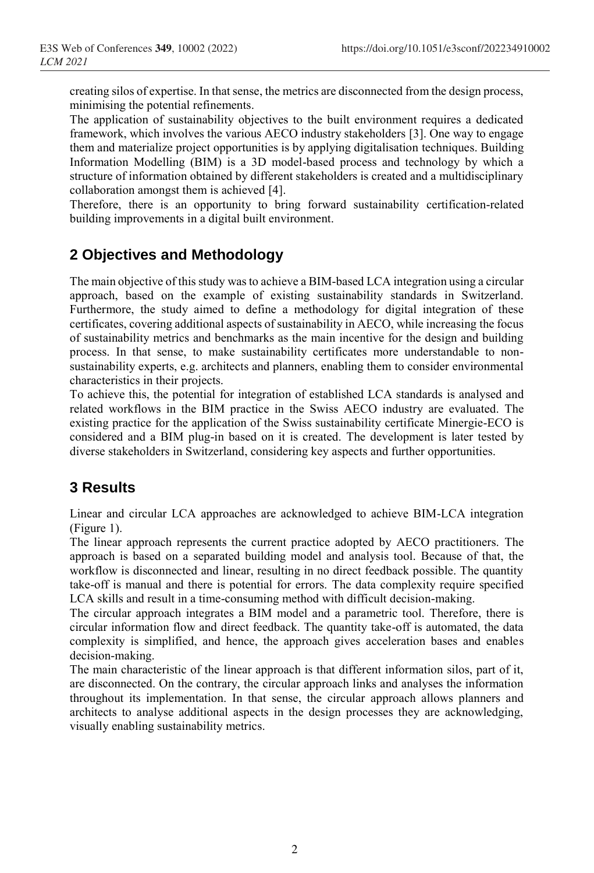creating silos of expertise. In that sense, the metrics are disconnected from the design process, minimising the potential refinements.

The application of sustainability objectives to the built environment requires a dedicated framework, which involves the various AECO industry stakeholders [3]. One way to engage them and materialize project opportunities is by applying digitalisation techniques. Building Information Modelling (BIM) is a 3D model-based process and technology by which a structure of information obtained by different stakeholders is created and a multidisciplinary collaboration amongst them is achieved [4].

Therefore, there is an opportunity to bring forward sustainability certification-related building improvements in a digital built environment.

# **2 Objectives and Methodology**

The main objective of this study wasto achieve a BIM-based LCA integration using a circular approach, based on the example of existing sustainability standards in Switzerland. Furthermore, the study aimed to define a methodology for digital integration of these certificates, covering additional aspects of sustainability in AECO, while increasing the focus of sustainability metrics and benchmarks as the main incentive for the design and building process. In that sense, to make sustainability certificates more understandable to nonsustainability experts, e.g. architects and planners, enabling them to consider environmental characteristics in their projects.

To achieve this, the potential for integration of established LCA standards is analysed and related workflows in the BIM practice in the Swiss AECO industry are evaluated. The existing practice for the application of the Swiss sustainability certificate Minergie-ECO is considered and a BIM plug-in based on it is created. The development is later tested by diverse stakeholders in Switzerland, considering key aspects and further opportunities.

# **3 Results**

Linear and circular LCA approaches are acknowledged to achieve BIM-LCA integration (Figure 1).

The linear approach represents the current practice adopted by AECO practitioners. The approach is based on a separated building model and analysis tool. Because of that, the workflow is disconnected and linear, resulting in no direct feedback possible. The quantity take-off is manual and there is potential for errors. The data complexity require specified LCA skills and result in a time-consuming method with difficult decision-making.

The circular approach integrates a BIM model and a parametric tool. Therefore, there is circular information flow and direct feedback. The quantity take-off is automated, the data complexity is simplified, and hence, the approach gives acceleration bases and enables decision-making.

The main characteristic of the linear approach is that different information silos, part of it, are disconnected. On the contrary, the circular approach links and analyses the information throughout its implementation. In that sense, the circular approach allows planners and architects to analyse additional aspects in the design processes they are acknowledging, visually enabling sustainability metrics.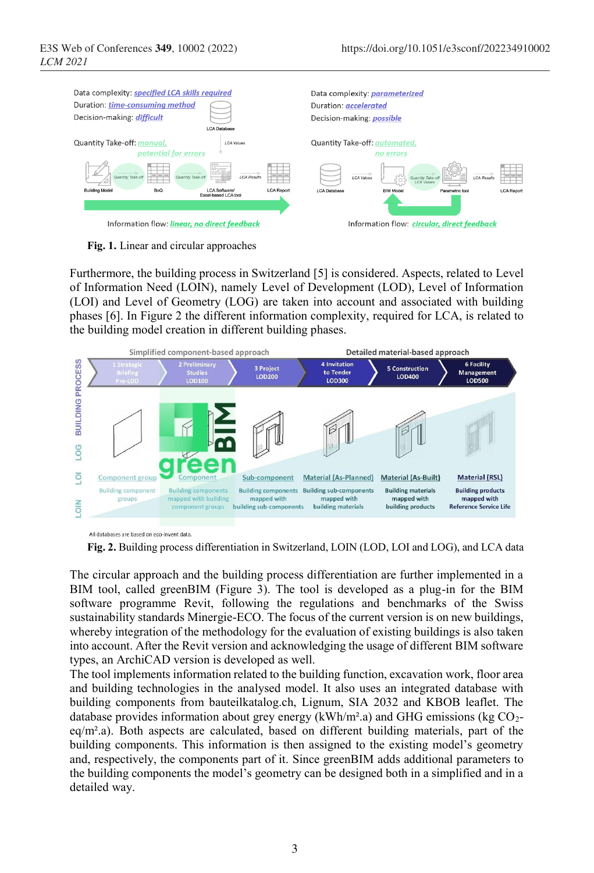

**Fig. 1.** Linear and circular approaches

Furthermore, the building process in Switzerland [5] is considered. Aspects, related to Level of Information Need (LOIN), namely Level of Development (LOD), Level of Information (LOI) and Level of Geometry (LOG) are taken into account and associated with building phases [6]. In Figure 2 the different information complexity, required for LCA, is related to the building model creation in different building phases.



All databases are based on eco-invent data.

**Fig. 2.** Building process differentiation in Switzerland, LOIN (LOD, LOI and LOG), and LCA data

The circular approach and the building process differentiation are further implemented in a BIM tool, called greenBIM (Figure 3). The tool is developed as a plug-in for the BIM software programme Revit, following the regulations and benchmarks of the Swiss sustainability standards Minergie-ECO. The focus of the current version is on new buildings, whereby integration of the methodology for the evaluation of existing buildings is also taken into account. After the Revit version and acknowledging the usage of different BIM software types, an ArchiCAD version is developed as well.

The tool implements information related to the building function, excavation work, floor area and building technologies in the analysed model. It also uses an integrated database with building components from bauteilkatalog.ch, Lignum, SIA 2032 and KBOB leaflet. The database provides information about grey energy  $(kWh/m<sup>2</sup>.a)$  and GHG emissions (kg CO<sub>2</sub> $eq/m<sup>2</sup>$ .a). Both aspects are calculated, based on different building materials, part of the building components. This information is then assigned to the existing model's geometry and, respectively, the components part of it. Since greenBIM adds additional parameters to the building components the model's geometry can be designed both in a simplified and in a detailed way.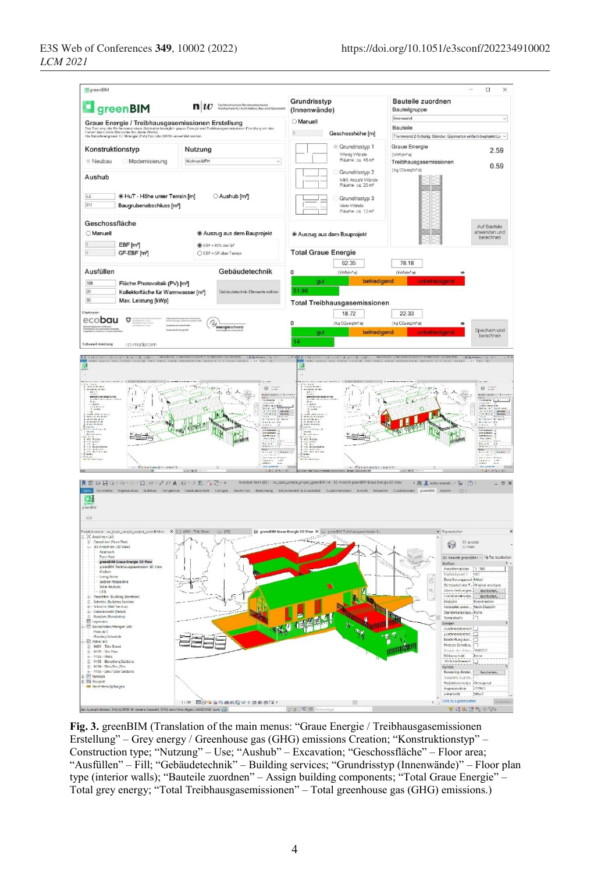

**Fig. 3.** greenBIM (Translation of the main menus: "Graue Energie / Treibhausgasemissionen Erstellung" – Grey energy / Greenhouse gas (GHG) emissions Creation; "Konstruktionstyp" – Construction type; "Nutzung" – Use; "Aushub" – Excavation; "Geschossfläche" – Floor area; "Ausfüllen" – Fill; "Gebäudetechnik" – Building services; "Grundrisstyp (Innenwände)" – Floor plan type (interior walls); "Bauteile zuordnen" – Assign building components; "Total Graue Energie" – Total grey energy; "Total Treibhausgasemissionen" – Total greenhouse gas (GHG) emissions.)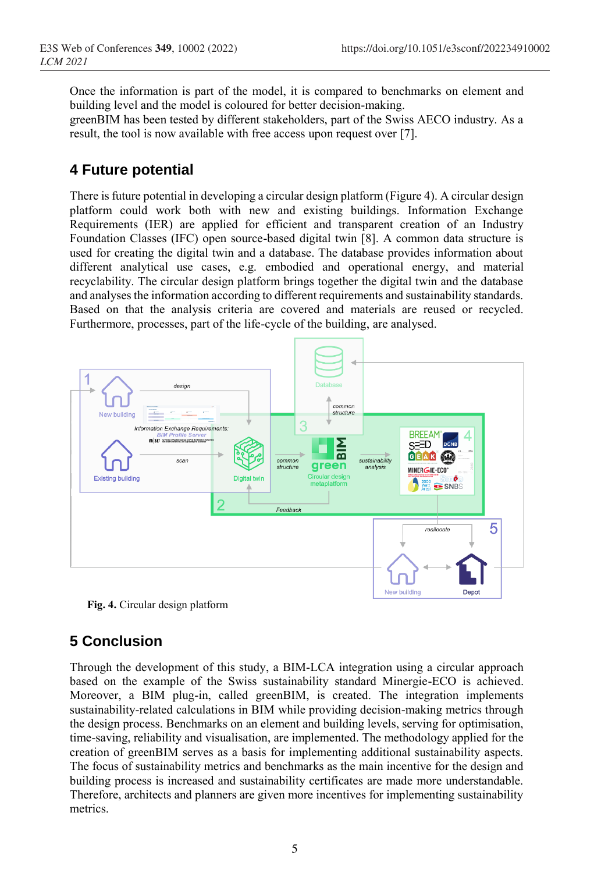Once the information is part of the model, it is compared to benchmarks on element and building level and the model is coloured for better decision-making.

greenBIM has been tested by different stakeholders, part of the Swiss AECO industry. As a result, the tool is now available with free access upon request over [7].

#### **4 Future potential**

There is future potential in developing a circular design platform (Figure 4). A circular design platform could work both with new and existing buildings. Information Exchange Requirements (IER) are applied for efficient and transparent creation of an Industry Foundation Classes (IFC) open source-based digital twin [8]. A common data structure is used for creating the digital twin and a database. The database provides information about different analytical use cases, e.g. embodied and operational energy, and material recyclability. The circular design platform brings together the digital twin and the database and analyses the information according to different requirements and sustainability standards. Based on that the analysis criteria are covered and materials are reused or recycled. Furthermore, processes, part of the life-cycle of the building, are analysed.



**Fig. 4.** Circular design platform

## **5 Conclusion**

Through the development of this study, a BIM-LCA integration using a circular approach based on the example of the Swiss sustainability standard Minergie-ECO is achieved. Moreover, a BIM plug-in, called greenBIM, is created. The integration implements sustainability-related calculations in BIM while providing decision-making metrics through the design process. Benchmarks on an element and building levels, serving for optimisation, time-saving, reliability and visualisation, are implemented. The methodology applied for the creation of greenBIM serves as a basis for implementing additional sustainability aspects. The focus of sustainability metrics and benchmarks as the main incentive for the design and building process is increased and sustainability certificates are made more understandable. Therefore, architects and planners are given more incentives for implementing sustainability metrics.